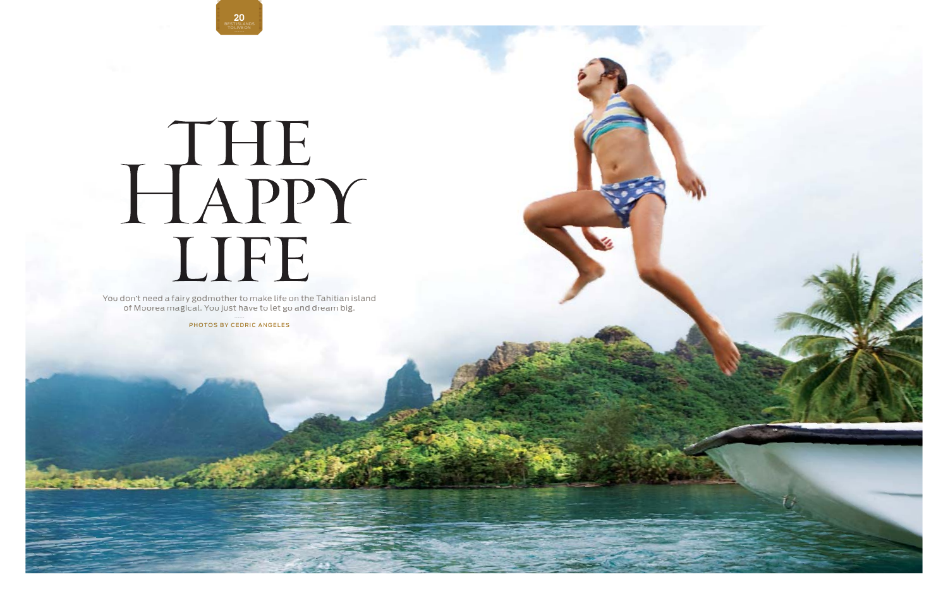# 20 BEST ISLANDS TO LIVE ON

# HAPPY LIFE

You don't need a fairy godmother to make life on the Tahitian island of Moorea magical. You just have tolet go and dream big.

PHOTOS BY CEDRIC ANGELES

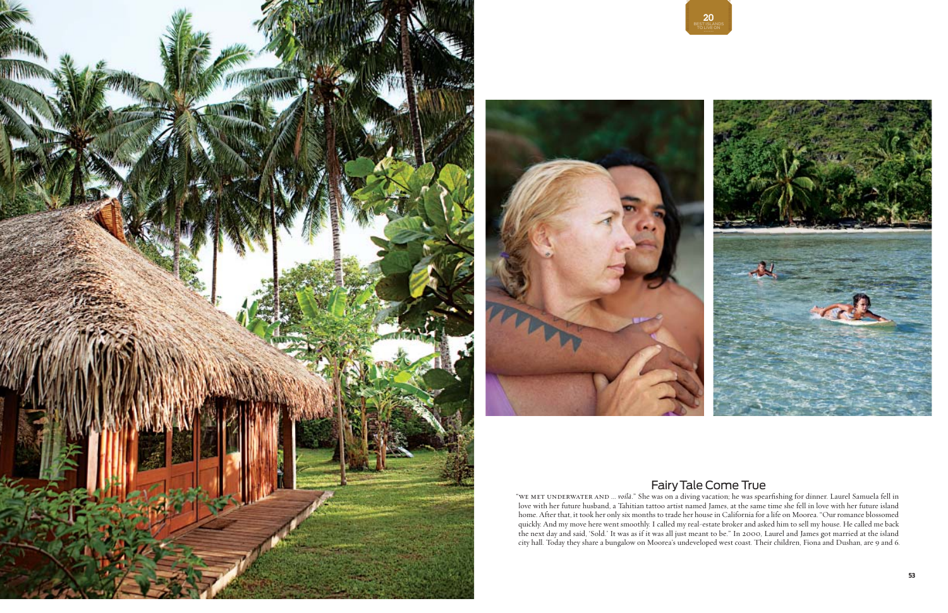



"we met underwater and … *voilà." She was on a diving vacation*; he was spearfishing for dinner. Laurel Samuela fell in love with her future husband, a Tahitian tattoo artist named James, at the same time she fell in love with her future island home. After that, it took her only six months to trade her house in California for a life on Moorea . "Our romance blossomed quickly. And my move here went smoothly. I called my real-estate broker and asked him to sell my house. He called me back the next day and said, 'Sold.' It was as if it was all just meant to be." In 2000, Laurel and James got married at the island city hall. Today they share a bungalow on Moorea's undeveloped west coast. Their children, Fiona and Dushan, are 9 and 6.

# Fair y Tale Come True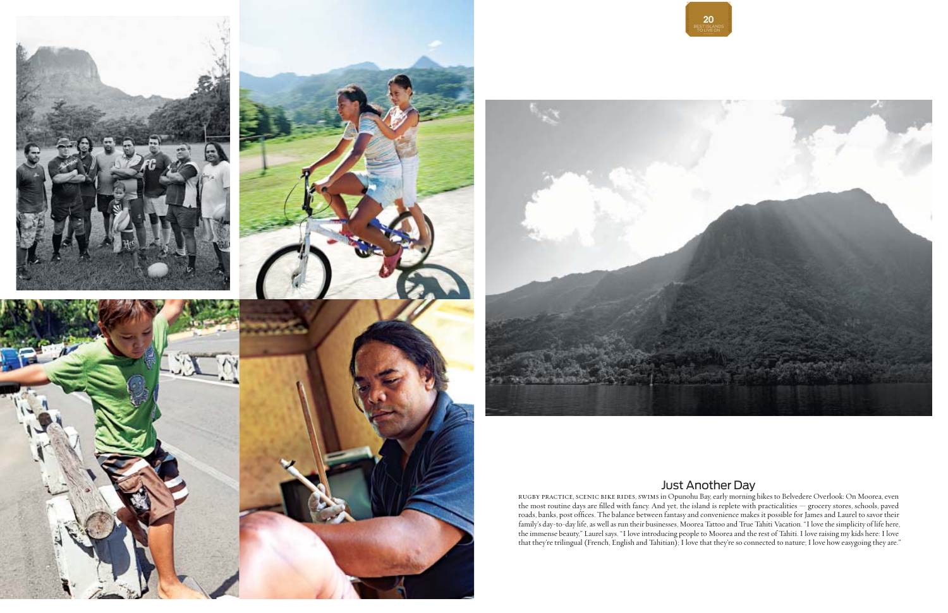# Just Another Da y





rugby practice, scenic bike rides, swims in Opunohu Bay , early morning hikes to Belvedere Overlook : On Moorea, even the most routine days are filled with fancy. And yet, the island is replete with practicalities — grocery stores, schools, paved<br>roads, banks, post offices. The balance between fantasy and convenience makes it possible for family's day-to-day life, as well as run their businesses, Moorea Tattoo and True Tahiti Vacation. "I love the simplicity of life here, the immense beauty," Laurel says. "I love introducing people to Moorea and the rest of Tahiti. I love raising my kids here: I love that they're trilingual (French, English and Tahitian); I love that they're so connected to nature; I love how easygoing they are."